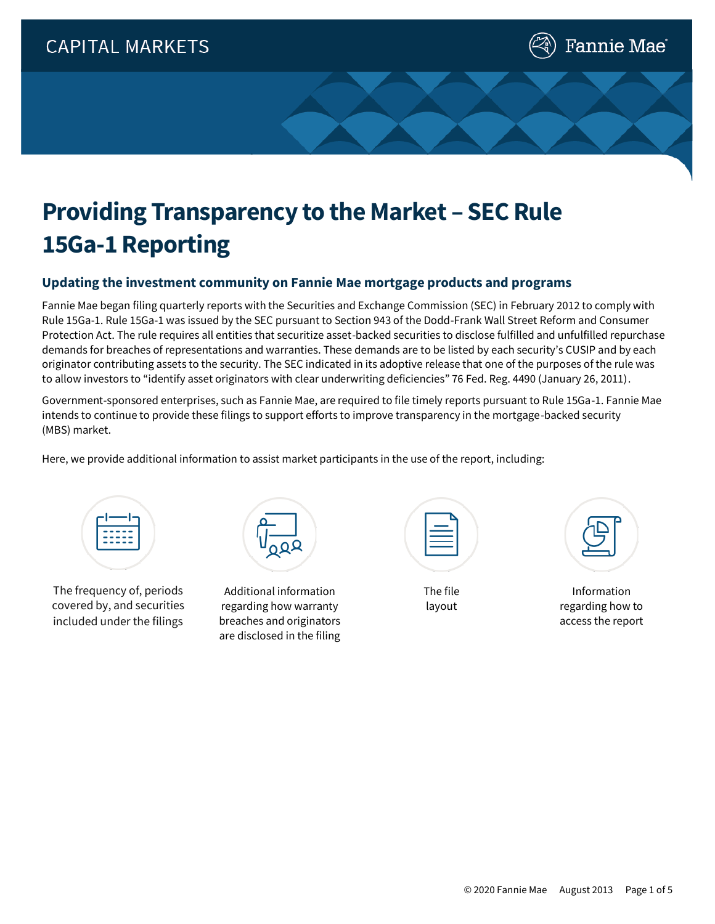

# **Providing Transparency to the Market – SEC Rule 15Ga-1 Reporting**

#### **Updating the investment community on Fannie Mae mortgage products and programs**

Fannie Mae began filing quarterly reports with the Securities and Exchange Commission (SEC) in February 2012 to comply with Rule 15Ga-1. Rule 15Ga-1 was issued by the SEC pursuant to Section 943 of the Dodd-Frank Wall Street Reform and Consumer Protection Act. The rule requires all entities that securitize asset-backed securities to disclose fulfilled and unfulfilled repurchase demands for breaches of representations and warranties. These demands are to be listed by each security's CUSIP and by each originator contributing assets to the security. The SEC indicated in its adoptive release that one of the purposes of the rule was to allow investors to "identify asset originators with clear underwriting deficiencies" 76 Fed. Reg. 4490 (January 26, 2011).

Government-sponsored enterprises, such as Fannie Mae, are required to file timely reports pursuant to Rule 15Ga-1. Fannie Mae intends to continue to provide these filings to support efforts to improve transparency in the mortgage-backed security (MBS) market.

Here, we provide additional information to assist market participants in the use of the report, including:



The frequency of, periods covered by, and securities included under the filings



Additional information regarding how warranty breaches and originators are disclosed in the filing

The file layout



Information regarding how to access the report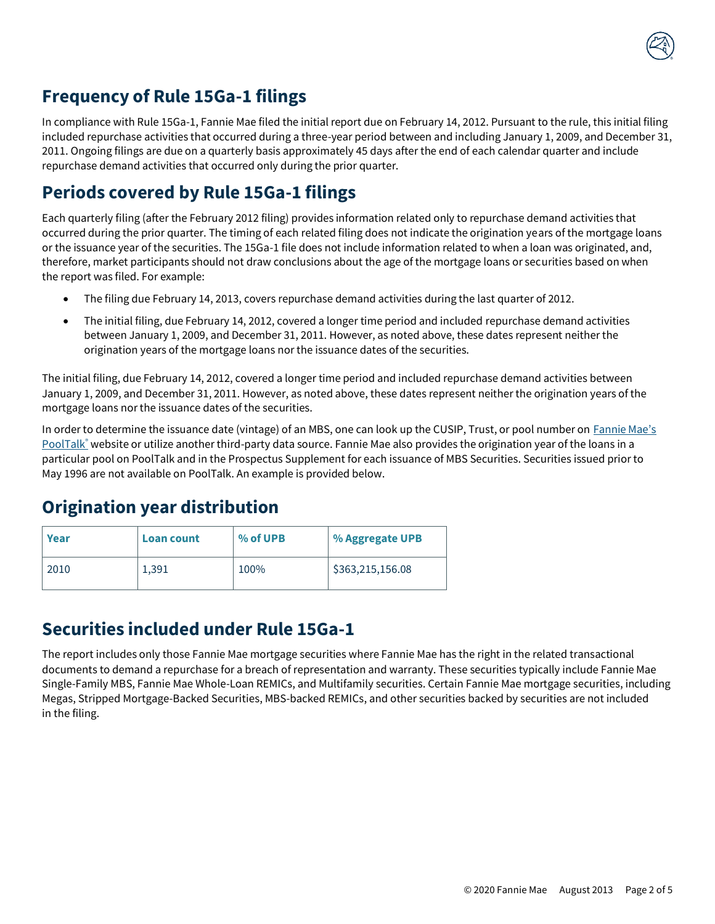

#### **Frequency of Rule 15Ga-1 filings**

In compliance with Rule 15Ga-1, Fannie Mae filed the initial report due on February 14, 2012. Pursuant to the rule, this initial filing included repurchase activities that occurred during a three-year period between and including January 1, 2009, and December 31, 2011. Ongoing filings are due on a quarterly basis approximately 45 days after the end of each calendar quarter and include repurchase demand activities that occurred only during the prior quarter.

#### **Periods covered by Rule 15Ga-1 filings**

Each quarterly filing (after the February 2012 filing) provides information related only to repurchase demand activities that occurred during the prior quarter. The timing of each related filing does not indicate the origination years of the mortgage loans or the issuance year of the securities. The 15Ga-1 file does not include information related to when a loan was originated, and, therefore, market participants should not draw conclusions about the age of the mortgage loans or securities based on when the report was filed. For example:

- The filing due February 14, 2013, covers repurchase demand activities during the last quarter of 2012.
- The initial filing, due February 14, 2012, covered a longer time period and included repurchase demand activities between January 1, 2009, and December 31, 2011. However, as noted above, these dates represent neither the origination years of the mortgage loans nor the issuance dates of the securities.

The initial filing, due February 14, 2012, covered a longer time period and included repurchase demand activities between January 1, 2009, and December 31, 2011. However, as noted above, these dates represent neither the origination years of the mortgage loans nor the issuance dates of the securities.

In order to determine the issuance date (vintage) of an MBS, one can look up the CUSIP, Trust, or pool number on Fannie Mae's [PoolTalk](https://fanniemae.mbs-securities.com/fannie)<sup>®</sup> website or utilize another third-party data source. Fannie Mae also provides the origination year of the loans in a particular pool on PoolTalk and in the Prospectus Supplement for each issuance of MBS Securities. Securities issued prior to May 1996 are not available on PoolTalk. An example is provided below.

#### **Origination year distribution**

| Year | <b>Loan count</b> | % of UPB | % Aggregate UPB  |
|------|-------------------|----------|------------------|
| 2010 | 1,391             | 100%     | \$363,215,156.08 |

#### **Securities included under Rule 15Ga-1**

The report includes only those Fannie Mae mortgage securities where Fannie Mae has the right in the related transactional documents to demand a repurchase for a breach of representation and warranty. These securities typically include Fannie Mae Single-Family MBS, Fannie Mae Whole-Loan REMICs, and Multifamily securities. Certain Fannie Mae mortgage securities, including Megas, Stripped Mortgage-Backed Securities, MBS-backed REMICs, and other securities backed by securities are not included in the filing.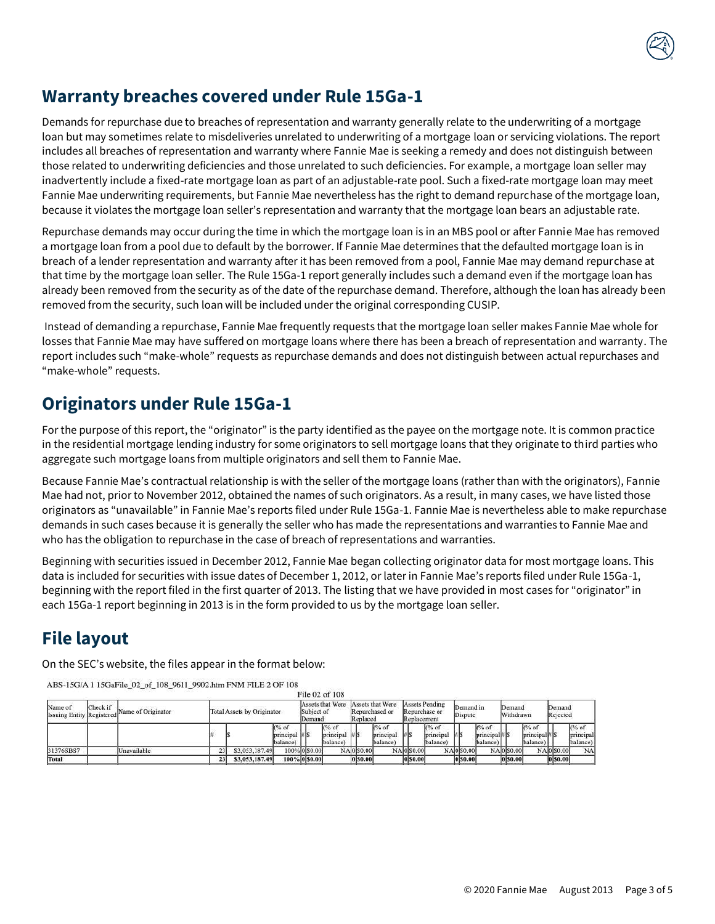#### **Warranty breaches covered under Rule 15Ga-1**

Demands for repurchase due to breaches of representation and warranty generally relate to the underwriting of a mortgage loan but may sometimes relate to misdeliveries unrelated to underwriting of a mortgage loan or servicing violations. The report includes all breaches of representation and warranty where Fannie Mae is seeking a remedy and does not distinguish between those related to underwriting deficiencies and those unrelated to such deficiencies. For example, a mortgage loan seller may inadvertently include a fixed-rate mortgage loan as part of an adjustable-rate pool. Such a fixed-rate mortgage loan may meet Fannie Mae underwriting requirements, but Fannie Mae nevertheless has the right to demand repurchase of the mortgage loan, because it violates the mortgage loan seller's representation and warranty that the mortgage loan bears an adjustable rate.

Repurchase demands may occur during the time in which the mortgage loan is in an MBS pool or after Fannie Mae has removed a mortgage loan from a pool due to default by the borrower. If Fannie Mae determines that the defaulted mortgage loan is in breach of a lender representation and warranty after it has been removed from a pool, Fannie Mae may demand repurchase at that time by the mortgage loan seller. The Rule 15Ga-1 report generally includes such a demand even if the mortgage loan has already been removed from the security as of the date of the repurchase demand. Therefore, although the loan has already been removed from the security, such loan will be included under the original corresponding CUSIP.

Instead of demanding a repurchase, Fannie Mae frequently requests that the mortgage loan seller makes Fannie Mae whole for losses that Fannie Mae may have suffered on mortgage loans where there has been a breach of representation and warranty. The report includes such "make-whole" requests as repurchase demands and does not distinguish between actual repurchases and "make-whole" requests.

### **Originators under Rule 15Ga-1**

For the purpose of this report, the "originator" is the party identified as the payee on the mortgage note. It is common practice in the residential mortgage lending industry for some originators to sell mortgage loans that they originate to third parties who aggregate such mortgage loans from multiple originators and sell them to Fannie Mae.

Because Fannie Mae's contractual relationship is with the seller of the mortgage loans (rather than with the originators), Fannie Mae had not, prior to November 2012, obtained the names of such originators. As a result, in many cases, we have listed those originators as "unavailable" in Fannie Mae's reports filed under Rule 15Ga-1. Fannie Mae is nevertheless able to make repurchase demands in such cases because it is generally the seller who has made the representations and warranties to Fannie Mae and who has the obligation to repurchase in the case of breach of representations and warranties.

Beginning with securities issued in December 2012, Fannie Mae began collecting originator data for most mortgage loans. This data is included for securities with issue dates of December 1, 2012, or later in Fannie Mae's reports filed under Rule 15Ga-1, beginning with the report filed in the first quarter of 2013. The listing that we have provided in most cases for "originator" in each 15Ga-1 report beginning in 2013 is in the form provided to us by the mortgage loan seller.

## **File layout**

On the SEC's website, the files appear in the format below:

ABS-15G/A 1 15GaFile 02 of 108 9611 9902.htm FNM FILE 2 OF 108

|                                                         |  | -345               |    |                            |                |                                                 |  |                                          | File 02 of 108                  |                                                |              |                                |                                                |                 |                                                       |                      |              |                                                                           |                     |              |                                               |  |              |                                          |
|---------------------------------------------------------|--|--------------------|----|----------------------------|----------------|-------------------------------------------------|--|------------------------------------------|---------------------------------|------------------------------------------------|--------------|--------------------------------|------------------------------------------------|-----------------|-------------------------------------------------------|----------------------|--------------|---------------------------------------------------------------------------|---------------------|--------------|-----------------------------------------------|--|--------------|------------------------------------------|
| Check if<br>Name of<br><b>Issuing Entity Registered</b> |  | Name of Originator |    | Total Assets by Originator |                |                                                 |  | Assets that Were<br>Subject of<br>Demand |                                 | Assets that Were<br>Repurchased or<br>Replaced |              |                                | Assets Pending<br>Repurchase or<br>Replacement |                 |                                                       | Demand in<br>Dispute |              |                                                                           | Demand<br>Withdrawn |              | Demand<br>Rejected                            |  |              |                                          |
|                                                         |  |                    |    |                            |                | $\frac{6}{6}$ of<br>$principle$ #18<br>balance) |  |                                          | (% of<br>principal<br>(balance) | <b>HIS</b>                                     |              | $%$ of<br>principal<br>balance | ⊯ls                                            |                 | $\frac{6}{6}$ of<br>principal<br>balance <sup>1</sup> | $\sharp$ is          |              | $%$ of<br>$principle$ <sub><math>\sharp</math></sub> $\sharp$<br>balance) |                     |              | $\frac{6}{6}$ of<br>principleal#S<br>balance) |  |              | $\sqrt{96}$ of<br>principal<br>(balance) |
| 31376SBS7                                               |  | Unavailable        | 23 |                            | \$3,053,187.49 | 100% 0 S0.00                                    |  |                                          |                                 |                                                | NA 0 50.00   |                                |                                                | NA050.00        |                                                       |                      | NA 0 50.00   |                                                                           |                     | NA 0 50.00   |                                               |  | NA0 50.00    | NA                                       |
| Total                                                   |  |                    | 23 |                            | \$3,053,187.49 | 100% 0 \$0.00                                   |  |                                          |                                 |                                                | $ 0 $ \$0.00 |                                |                                                | <b>0</b> \$0.00 |                                                       |                      | $ 0 $ \$0.00 |                                                                           |                     | $ 0 $ \$0.00 |                                               |  | $ 0 $ \$0.00 |                                          |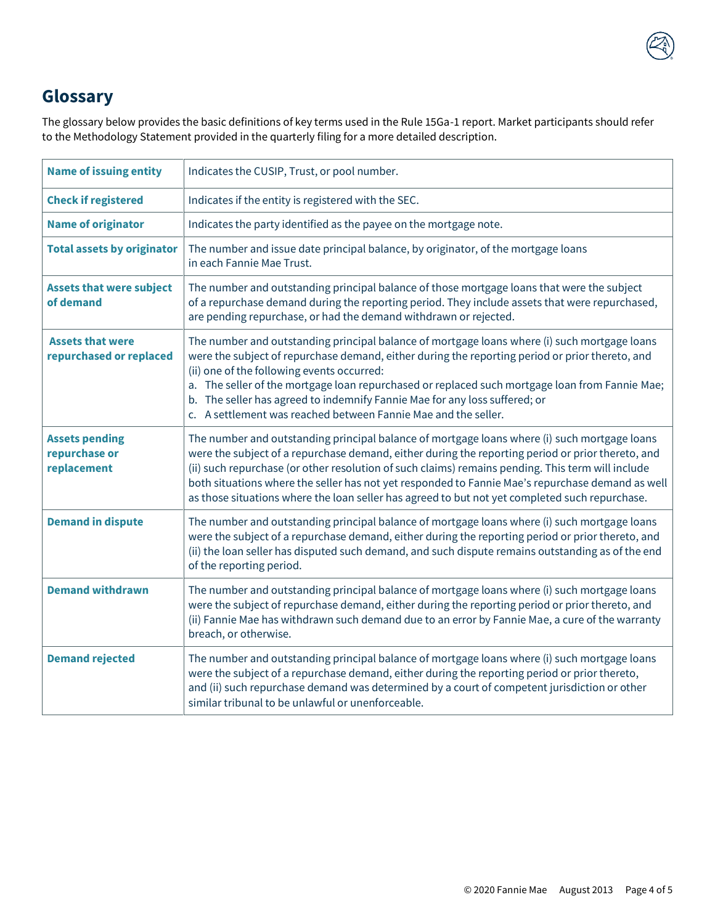

## **Glossary**

The glossary below provides the basic definitions of key terms used in the Rule 15Ga-1 report. Market participants should refer to the Methodology Statement provided in the quarterly filing for a more detailed description.

| <b>Name of issuing entity</b>                         | Indicates the CUSIP, Trust, or pool number.                                                                                                                                                                                                                                                                                                                                                                                                                                                                  |
|-------------------------------------------------------|--------------------------------------------------------------------------------------------------------------------------------------------------------------------------------------------------------------------------------------------------------------------------------------------------------------------------------------------------------------------------------------------------------------------------------------------------------------------------------------------------------------|
| <b>Check if registered</b>                            | Indicates if the entity is registered with the SEC.                                                                                                                                                                                                                                                                                                                                                                                                                                                          |
| <b>Name of originator</b>                             | Indicates the party identified as the payee on the mortgage note.                                                                                                                                                                                                                                                                                                                                                                                                                                            |
| <b>Total assets by originator</b>                     | The number and issue date principal balance, by originator, of the mortgage loans<br>in each Fannie Mae Trust.                                                                                                                                                                                                                                                                                                                                                                                               |
| <b>Assets that were subject</b><br>of demand          | The number and outstanding principal balance of those mortgage loans that were the subject<br>of a repurchase demand during the reporting period. They include assets that were repurchased,<br>are pending repurchase, or had the demand withdrawn or rejected.                                                                                                                                                                                                                                             |
| <b>Assets that were</b><br>repurchased or replaced    | The number and outstanding principal balance of mortgage loans where (i) such mortgage loans<br>were the subject of repurchase demand, either during the reporting period or prior thereto, and<br>(ii) one of the following events occurred:<br>a. The seller of the mortgage loan repurchased or replaced such mortgage loan from Fannie Mae;<br>b. The seller has agreed to indemnify Fannie Mae for any loss suffered; or<br>c. A settlement was reached between Fannie Mae and the seller.              |
| <b>Assets pending</b><br>repurchase or<br>replacement | The number and outstanding principal balance of mortgage loans where (i) such mortgage loans<br>were the subject of a repurchase demand, either during the reporting period or prior thereto, and<br>(ii) such repurchase (or other resolution of such claims) remains pending. This term will include<br>both situations where the seller has not yet responded to Fannie Mae's repurchase demand as well<br>as those situations where the loan seller has agreed to but not yet completed such repurchase. |
| <b>Demand in dispute</b>                              | The number and outstanding principal balance of mortgage loans where (i) such mortgage loans<br>were the subject of a repurchase demand, either during the reporting period or prior thereto, and<br>(ii) the loan seller has disputed such demand, and such dispute remains outstanding as of the end<br>of the reporting period.                                                                                                                                                                           |
| <b>Demand withdrawn</b>                               | The number and outstanding principal balance of mortgage loans where (i) such mortgage loans<br>were the subject of repurchase demand, either during the reporting period or prior thereto, and<br>(ii) Fannie Mae has withdrawn such demand due to an error by Fannie Mae, a cure of the warranty<br>breach, or otherwise.                                                                                                                                                                                  |
| <b>Demand rejected</b>                                | The number and outstanding principal balance of mortgage loans where (i) such mortgage loans<br>were the subject of a repurchase demand, either during the reporting period or prior thereto,<br>and (ii) such repurchase demand was determined by a court of competent jurisdiction or other<br>similar tribunal to be unlawful or unenforceable.                                                                                                                                                           |